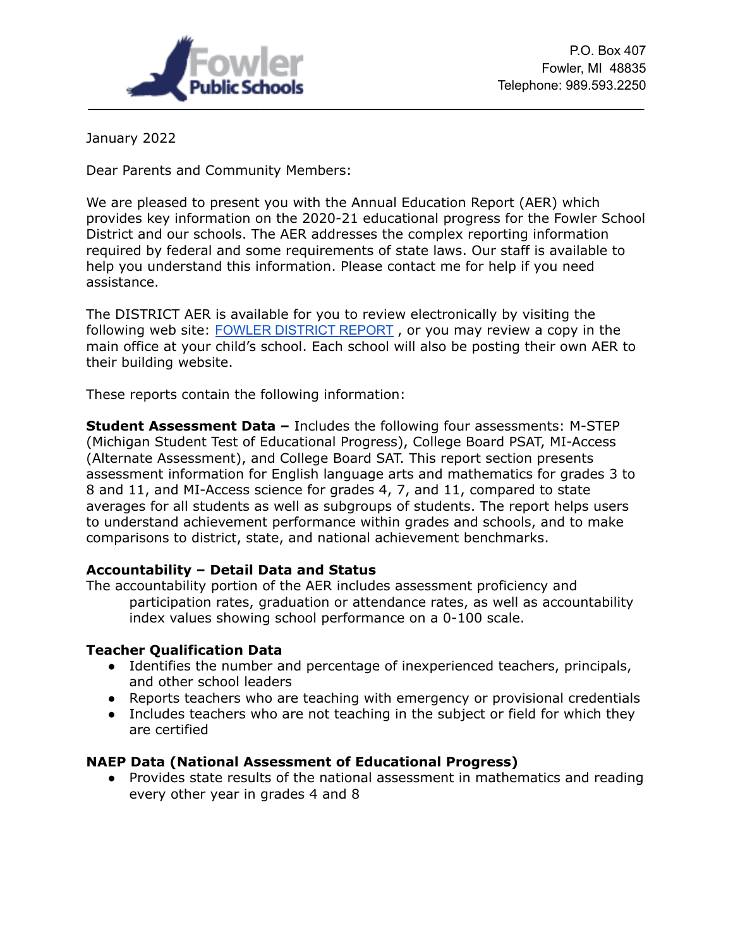

January 2022

Dear Parents and Community Members:

We are pleased to present you with the Annual Education Report (AER) which provides key information on the 2020-21 educational progress for the Fowler School District and our schools. The AER addresses the complex reporting information required by federal and some requirements of state laws. Our staff is available to help you understand this information. Please contact me for help if you need assistance.

The DISTRICT AER is available for you to review electronically by visiting the following web site: FOWLER [DISTRICT](https://bit.ly/3qERGrQ) REPORT , or you may review a copy in the main office at your child's school. Each school will also be posting their own AER to their building website.

These reports contain the following information:

**Student Assessment Data –** Includes the following four assessments: M-STEP (Michigan Student Test of Educational Progress), College Board PSAT, MI-Access (Alternate Assessment), and College Board SAT. This report section presents assessment information for English language arts and mathematics for grades 3 to 8 and 11, and MI-Access science for grades 4, 7, and 11, compared to state averages for all students as well as subgroups of students. The report helps users to understand achievement performance within grades and schools, and to make comparisons to district, state, and national achievement benchmarks.

## **Accountability – Detail Data and Status**

The accountability portion of the AER includes assessment proficiency and participation rates, graduation or attendance rates, as well as accountability index values showing school performance on a 0-100 scale.

## **Teacher Qualification Data**

- Identifies the number and percentage of inexperienced teachers, principals, and other school leaders
- Reports teachers who are teaching with emergency or provisional credentials
- Includes teachers who are not teaching in the subject or field for which they are certified

## **NAEP Data (National Assessment of Educational Progress)**

● Provides state results of the national assessment in mathematics and reading every other year in grades 4 and 8